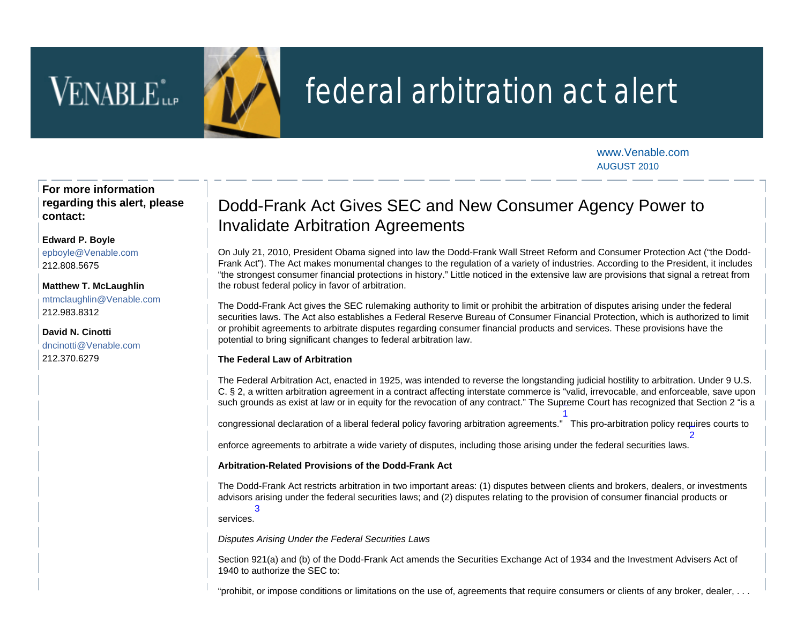# VENABLE<sup>\*</sup>



## federal arbitration act alert

[www.Venable.com](http://www.venable.com/) AUGUST 2010

2

**For more information regarding this alert, please contact:**

## **[Edward P. Boyle](http://www.venable.com/edward-p-boyle/)**

[epbo](mailto:epboyle@Venable.com)yle@Venable.com 212.808.5675

**[Matthew T. McLaughlin](http://www.venable.com/matthew-t-mclaughlin/)** [mtmclaughlin@Venable.com](mailto:mtmclaughlin@Venable.com) 212.983.8312

**[David N. Cinotti](http://www.venable.com/david-n-cinotti/)** [dncinotti@Venable.com](mailto:dncinotti@Venable.com) 212.370.6279

## Dodd-Frank Act Gives SEC and New Consumer Agency Power to Invalidate Arbitration Agreements

On July 21, 2010, President Obama signed into law the Dodd-Frank Wall Street Reform and Consumer Protection Act ("the Dodd-Frank Act"). The Act makes monumental changes to the regulation of a variety of industries. According to the President, it includes "the strongest consumer financial protections in history." Little noticed in the extensive law are provisions that signal a retreat from the robust federal policy in favor of arbitration.

The Dodd-Frank Act gives the SEC rulemaking authority to limit or prohibit the arbitration of disputes arising under the federal securities laws. The Act also establishes a Federal Reserve Bureau of Consumer Financial Protection, which is authorized to limit or prohibit agreements to arbitrate disputes regarding consumer financial products and services. These provisions have the potential to bring significant changes to federal arbitration law.

## **The Federal Law of Arbitration**

The Federal Arbitration Act, enacted in 1925, was intended to reverse the longstanding judicial hostility to arbitration. Under 9 U.S. C. § 2, a written arbitration agreement in a contract affecting interstate commerce is "valid, irrevocable, and enforceable, save upon such grounds as exist at law or in equity for the revocation of any contract." The Su[pre](#page-1-0)me Court has recognized that Section 2 "is a

congressional declaration of a liberal federal policy favoring arbitration agreements." This pro-arbitration policy re[qu](#page-1-1)ires courts to 1

enforce agreements to arbitrate a wide variety of disputes, including those arising under the federal securities laws.

### **Arbitration-Related Provisions of the Dodd-Frank Act**

The Dodd-Frank Act restricts arbitration in two important areas: (1) disputes between clients and brokers, dealers, or investments advisors [a](#page-1-1)rising under the federal securities laws; and (2) disputes relating to the provision of consumer financial products or 3

services.

*Disputes Arising Under the Federal Securities Laws*

Section 921(a) and (b) of the Dodd-Frank Act amends the Securities Exchange Act of 1934 and the Investment Advisers Act of 1940 to authorize the SEC to:

"prohibit, or impose conditions or limitations on the use of, agreements that require consumers or clients of any broker, dealer, . . .